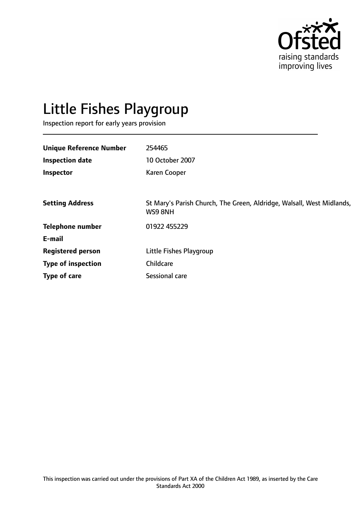

# Little Fishes Playgroup

Inspection report for early years provision

| <b>Unique Reference Number</b> | 254465                                                                           |
|--------------------------------|----------------------------------------------------------------------------------|
| <b>Inspection date</b>         | 10 October 2007                                                                  |
| Inspector                      | <b>Karen Cooper</b>                                                              |
|                                |                                                                                  |
| <b>Setting Address</b>         | St Mary's Parish Church, The Green, Aldridge, Walsall, West Midlands,<br>WS9 8NH |
| <b>Telephone number</b>        | 01922 455229                                                                     |
| E-mail                         |                                                                                  |
| <b>Registered person</b>       | Little Fishes Playgroup                                                          |
| <b>Type of inspection</b>      | Childcare                                                                        |
| Type of care                   | Sessional care                                                                   |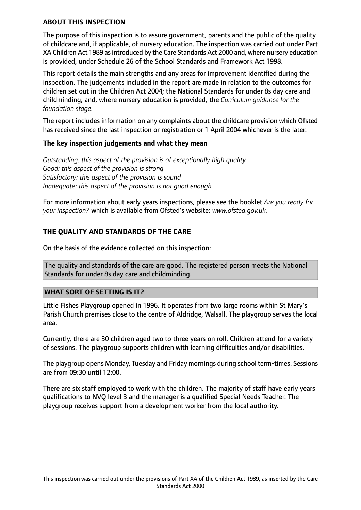#### **ABOUT THIS INSPECTION**

The purpose of this inspection is to assure government, parents and the public of the quality of childcare and, if applicable, of nursery education. The inspection was carried out under Part XA Children Act 1989 as introduced by the Care Standards Act 2000 and, where nursery education is provided, under Schedule 26 of the School Standards and Framework Act 1998.

This report details the main strengths and any areas for improvement identified during the inspection. The judgements included in the report are made in relation to the outcomes for children set out in the Children Act 2004; the National Standards for under 8s day care and childminding; and, where nursery education is provided, the *Curriculum guidance for the foundation stage.*

The report includes information on any complaints about the childcare provision which Ofsted has received since the last inspection or registration or 1 April 2004 whichever is the later.

#### **The key inspection judgements and what they mean**

*Outstanding: this aspect of the provision is of exceptionally high quality Good: this aspect of the provision is strong Satisfactory: this aspect of the provision is sound Inadequate: this aspect of the provision is not good enough*

For more information about early years inspections, please see the booklet *Are you ready for your inspection?* which is available from Ofsted's website: *www.ofsted.gov.uk.*

#### **THE QUALITY AND STANDARDS OF THE CARE**

On the basis of the evidence collected on this inspection:

The quality and standards of the care are good. The registered person meets the National Standards for under 8s day care and childminding.

#### **WHAT SORT OF SETTING IS IT?**

Little Fishes Playgroup opened in 1996. It operates from two large rooms within St Mary's Parish Church premises close to the centre of Aldridge, Walsall. The playgroup serves the local area.

Currently, there are 30 children aged two to three years on roll. Children attend for a variety of sessions. The playgroup supports children with learning difficulties and/or disabilities.

The playgroup opens Monday, Tuesday and Friday mornings during school term-times. Sessions are from 09:30 until 12:00.

There are six staff employed to work with the children. The majority of staff have early years qualifications to NVQ level 3 and the manager is a qualified Special Needs Teacher. The playgroup receives support from a development worker from the local authority.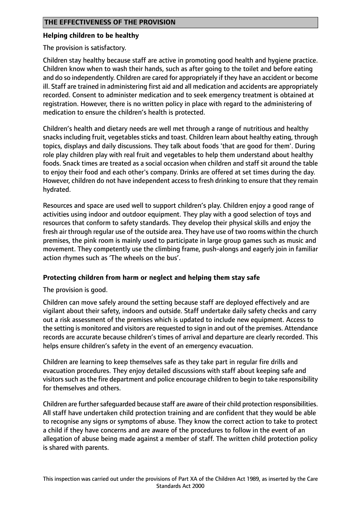#### **Helping children to be healthy**

The provision is satisfactory.

Children stay healthy because staff are active in promoting good health and hygiene practice. Children know when to wash their hands, such as after going to the toilet and before eating and do so independently. Children are cared for appropriately if they have an accident or become ill. Staff are trained in administering first aid and all medication and accidents are appropriately recorded. Consent to administer medication and to seek emergency treatment is obtained at registration. However, there is no written policy in place with regard to the administering of medication to ensure the children's health is protected.

Children's health and dietary needs are well met through a range of nutritious and healthy snacks including fruit, vegetables sticks and toast. Children learn about healthy eating, through topics, displays and daily discussions. They talk about foods 'that are good for them'. During role play children play with real fruit and vegetables to help them understand about healthy foods. Snack times are treated as a social occasion when children and staff sit around the table to enjoy their food and each other's company. Drinks are offered at set times during the day. However, children do not have independent access to fresh drinking to ensure that they remain hydrated.

Resources and space are used well to support children's play. Children enjoy a good range of activities using indoor and outdoor equipment. They play with a good selection of toys and resources that conform to safety standards. They develop their physical skills and enjoy the fresh air through regular use of the outside area. They have use of two rooms within the church premises, the pink room is mainly used to participate in large group games such as music and movement. They competently use the climbing frame, push-alongs and eagerly join in familiar action rhymes such as 'The wheels on the bus'.

#### **Protecting children from harm or neglect and helping them stay safe**

The provision is good.

Children can move safely around the setting because staff are deployed effectively and are vigilant about their safety, indoors and outside. Staff undertake daily safety checks and carry out a risk assessment of the premises which is updated to include new equipment. Access to the setting is monitored and visitors are requested to sign in and out of the premises. Attendance records are accurate because children's times of arrival and departure are clearly recorded. This helps ensure children's safety in the event of an emergency evacuation.

Children are learning to keep themselves safe as they take part in regular fire drills and evacuation procedures. They enjoy detailed discussions with staff about keeping safe and visitorssuch asthe fire department and police encourage children to begin to take responsibility for themselves and others.

Children are further safeguarded because staff are aware of their child protection responsibilities. All staff have undertaken child protection training and are confident that they would be able to recognise any signs or symptoms of abuse. They know the correct action to take to protect a child if they have concerns and are aware of the procedures to follow in the event of an allegation of abuse being made against a member of staff. The written child protection policy is shared with parents.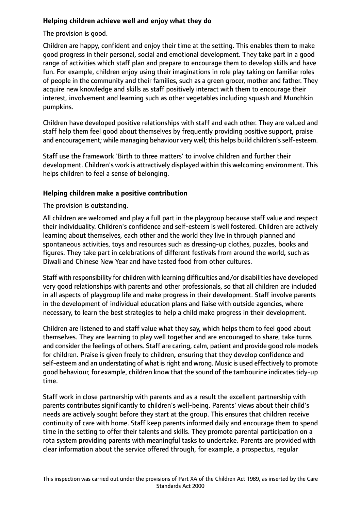## **Helping children achieve well and enjoy what they do**

The provision is good.

Children are happy, confident and enjoy their time at the setting. This enables them to make good progress in their personal, social and emotional development. They take part in a good range of activities which staff plan and prepare to encourage them to develop skills and have fun. For example, children enjoy using their imaginations in role play taking on familiar roles of people in the community and their families, such as a green grocer, mother and father. They acquire new knowledge and skills as staff positively interact with them to encourage their interest, involvement and learning such as other vegetables including squash and Munchkin pumpkins.

Children have developed positive relationships with staff and each other. They are valued and staff help them feel good about themselves by frequently providing positive support, praise and encouragement; while managing behaviour very well; this helps build children's self-esteem.

Staff use the framework 'Birth to three matters' to involve children and further their development. Children's work is attractively displayed within this welcoming environment. This helps children to feel a sense of belonging.

## **Helping children make a positive contribution**

The provision is outstanding.

All children are welcomed and play a full part in the playgroup because staff value and respect their individuality. Children's confidence and self-esteem is well fostered. Children are actively learning about themselves, each other and the world they live in through planned and spontaneous activities, toys and resources such as dressing-up clothes, puzzles, books and figures. They take part in celebrations of different festivals from around the world, such as Diwali and Chinese New Year and have tasted food from other cultures.

Staff with responsibility for children with learning difficulties and/or disabilities have developed very good relationships with parents and other professionals, so that all children are included in all aspects of playgroup life and make progress in their development. Staff involve parents in the development of individual education plans and liaise with outside agencies, where necessary, to learn the best strategies to help a child make progress in their development.

Children are listened to and staff value what they say, which helps them to feel good about themselves. They are learning to play well together and are encouraged to share, take turns and consider the feelings of others. Staff are caring, calm, patient and provide good role models for children. Praise is given freely to children, ensuring that they develop confidence and self-esteem and an understating of what is right and wrong. Music is used effectively to promote good behaviour, for example, children know that the sound of the tambourine indicatestidy-up time.

Staff work in close partnership with parents and as a result the excellent partnership with parents contributes significantly to children's well-being. Parents' views about their child's needs are actively sought before they start at the group. This ensures that children receive continuity of care with home. Staff keep parents informed daily and encourage them to spend time in the setting to offer their talents and skills. They promote parental participation on a rota system providing parents with meaningful tasks to undertake. Parents are provided with clear information about the service offered through, for example, a prospectus, regular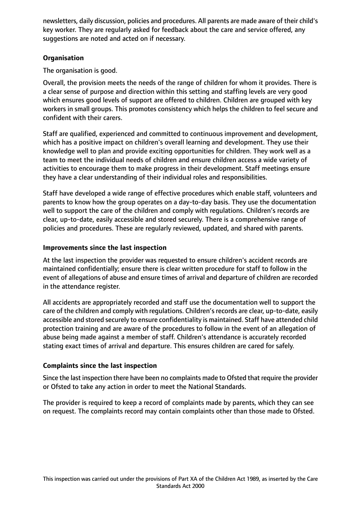newsletters, daily discussion, policies and procedures. All parents are made aware of their child's key worker. They are regularly asked for feedback about the care and service offered, any suggestions are noted and acted on if necessary.

# **Organisation**

The organisation is good.

Overall, the provision meets the needs of the range of children for whom it provides. There is a clear sense of purpose and direction within this setting and staffing levels are very good which ensures good levels of support are offered to children. Children are grouped with key workers in small groups. This promotes consistency which helps the children to feel secure and confident with their carers.

Staff are qualified, experienced and committed to continuous improvement and development, which has a positive impact on children's overall learning and development. They use their knowledge well to plan and provide exciting opportunities for children. They work well as a team to meet the individual needs of children and ensure children access a wide variety of activities to encourage them to make progress in their development. Staff meetings ensure they have a clear understanding of their individual roles and responsibilities.

Staff have developed a wide range of effective procedures which enable staff, volunteers and parents to know how the group operates on a day-to-day basis. They use the documentation well to support the care of the children and comply with regulations. Children's records are clear, up-to-date, easily accessible and stored securely. There is a comprehensive range of policies and procedures. These are regularly reviewed, updated, and shared with parents.

## **Improvements since the last inspection**

At the last inspection the provider was requested to ensure children's accident records are maintained confidentially; ensure there is clear written procedure for staff to follow in the event of allegations of abuse and ensure times of arrival and departure of children are recorded in the attendance register.

All accidents are appropriately recorded and staff use the documentation well to support the care of the children and comply with regulations. Children's records are clear, up-to-date, easily accessible and stored securely to ensure confidentiality is maintained. Staff have attended child protection training and are aware of the procedures to follow in the event of an allegation of abuse being made against a member of staff. Children's attendance is accurately recorded stating exact times of arrival and departure. This ensures children are cared for safely.

# **Complaints since the last inspection**

Since the last inspection there have been no complaints made to Ofsted that require the provider or Ofsted to take any action in order to meet the National Standards.

The provider is required to keep a record of complaints made by parents, which they can see on request. The complaints record may contain complaints other than those made to Ofsted.